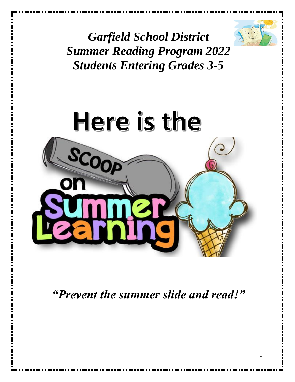

1

*Garfield School District Summer Reading Program 2022 Students Entering Grades 3-5*



*"Prevent the summer slide and read!"*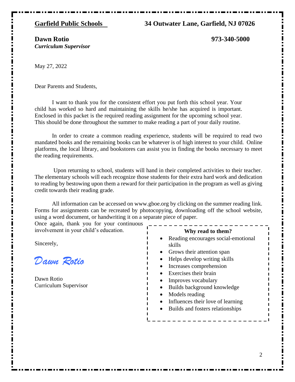#### **Garfield Public Schools 34 Outwater Lane, Garfield, NJ 07026**

#### **Dawn Rotio 973-340-5000** *Curriculum Supervisor*

May 27, 2022

Dear Parents and Students,

I want to thank you for the consistent effort you put forth this school year. Your child has worked so hard and maintaining the skills he/she has acquired is important. Enclosed in this packet is the required reading assignment for the upcoming school year. This should be done throughout the summer to make reading a part of your daily routine.

In order to create a common reading experience, students will be required to read two mandated books and the remaining books can be whatever is of high interest to your child. Online platforms, the local library, and bookstores can assist you in finding the books necessary to meet the reading requirements.

Upon returning to school, students will hand in their completed activities to their teacher. The elementary schools will each recognize those students for their extra hard work and dedication to reading by bestowing upon them a reward for their participation in the program as well as giving credit towards their reading grade.

All information can be accessed on [www.gboe.org](http://www.gboe.org/) by clicking on the summer reading link. Forms for assignments can be recreated by photocopying, downloading off the school website, using a word document, or handwriting it on a separate piece of paper.

Once again, thank you for your continuous involvement in your child's education.

Sincerely,

*Dawn Rotio*

Dawn Rotio Curriculum Supervisor

**Why read to them?**

- Reading encourages social-emotional skills
- Grows their attention span
- Helps develop writing skills
- Increases comprehension
- Exercises their brain
- Improves vocabulary
- Builds background knowledge
- Models reading
- Influences their love of learning
- Builds and fosters relationships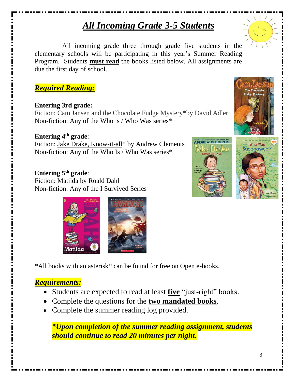# *All Incoming Grade 3-5 Students*

All incoming grade three through grade five students in the elementary schools will be participating in this year's Summer Reading Program. Students **must read** the books listed below. All assignments are due the first day of school.

## *Required Reading:*

## **Entering 3rd grade:**

Fiction: Cam Jansen and the Chocolate Fudge Mystery\*by David Adler Non-fiction: Any of the Who is / Who Was series\*

**Entering 4 th grade**: Fiction: Jake Drake, Know-it-all\* by Andrew Clements Non-fiction: Any of the Who Is / Who Was series\*

## **Entering 5 th grade**:

Fiction: Matilda by Roald Dahl Non-fiction: Any of the I Survived Series

\*All books with an asterisk\* can be found for free on Open e-books.

## *Requirements:*

- Students are expected to read at least **five** "just-right" books.
- Complete the questions for the **two mandated books**.
- Complete the summer reading log provided.

*\*Upon completion of the summer reading assignment, students should continue to read 20 minutes per night.*







Sacagawea?



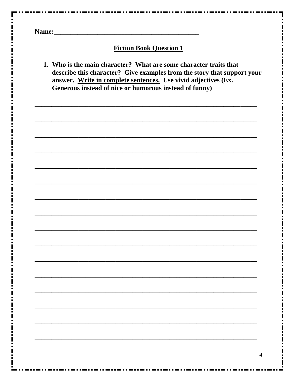Name: Name: Name: Name: Name: Name: Name: Name: Name: Name: Name: Name: Name: Name: Name: Name: Name: Name: Name: Name: Name: Name: Name: Name: Name: Name: Name: Name: Name: Name: Name: Name: Name: Name: Name: Name: Name:

#### **Fiction Book Question 1**

1. Who is the main character? What are some character traits that describe this character? Give examples from the story that support your answer. Write in complete sentences. Use vivid adjectives (Ex. Generous instead of nice or humorous instead of funny)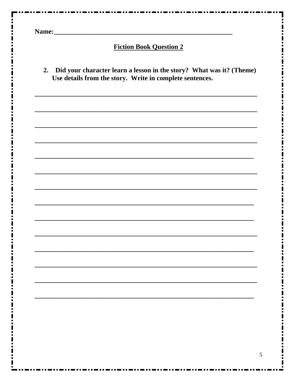Name: Name and the set of the set of the set of the set of the set of the set of the set of the set of the set of the set of the set of the set of the set of the set of the set of the set of the set of the set of the set o

### **Fiction Book Question 2**

2. Did your character learn a lesson in the story? What was it? (Theme) Use details from the story. Write in complete sentences.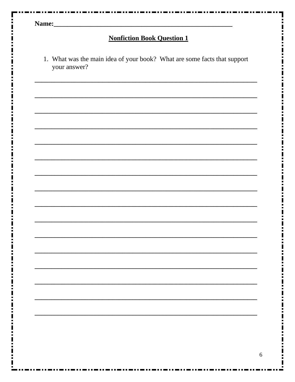| <b>Nonfiction Book Question 1</b> |  |                                                                                                                       |  |  |  |
|-----------------------------------|--|-----------------------------------------------------------------------------------------------------------------------|--|--|--|
|                                   |  |                                                                                                                       |  |  |  |
|                                   |  |                                                                                                                       |  |  |  |
|                                   |  |                                                                                                                       |  |  |  |
|                                   |  |                                                                                                                       |  |  |  |
|                                   |  |                                                                                                                       |  |  |  |
|                                   |  |                                                                                                                       |  |  |  |
|                                   |  |                                                                                                                       |  |  |  |
|                                   |  | <u> 1980 - Johann Barn, amerikan bernama di sebagai bernama di sebagai bernama di sebagai bernama di sebagai bern</u> |  |  |  |
|                                   |  |                                                                                                                       |  |  |  |
|                                   |  |                                                                                                                       |  |  |  |
|                                   |  |                                                                                                                       |  |  |  |
|                                   |  |                                                                                                                       |  |  |  |
|                                   |  |                                                                                                                       |  |  |  |
|                                   |  |                                                                                                                       |  |  |  |
|                                   |  |                                                                                                                       |  |  |  |
|                                   |  |                                                                                                                       |  |  |  |
|                                   |  |                                                                                                                       |  |  |  |
|                                   |  |                                                                                                                       |  |  |  |
|                                   |  |                                                                                                                       |  |  |  |
|                                   |  |                                                                                                                       |  |  |  |

п

Е

Î,

 $\frac{1}{1}$ 

Î,  $\frac{1}{2}$ Ī  $\ddot{\phantom{a}}$  $\mathbf{I}$ 

Ш

Ξ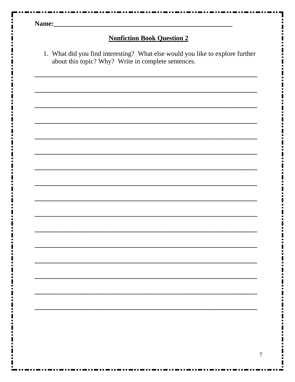| Name: |  |
|-------|--|
|-------|--|

## **Nonfiction Book Question 2**

1. What did you find interesting? What else would you like to explore further about this topic? Why? Write in complete sentences.